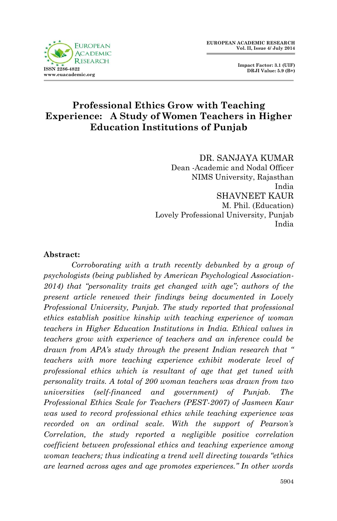

 **Impact Factor: 3.1 (UIF) DRJI Value: 5.9 (B+)**

### **Professional Ethics Grow with Teaching Experience: A Study of Women Teachers in Higher Education Institutions of Punjab**

DR. SANJAYA KUMAR Dean -Academic and Nodal Officer NIMS University, Rajasthan India SHAVNEET KAUR M. Phil. (Education) Lovely Professional University, Punjab India

#### **Abstract:**

*Corroborating with a truth recently debunked by a group of psychologists (being published by American Psychological Association-2014) that "personality traits get changed with age"; authors of the present article renewed their findings being documented in Lovely Professional University, Punjab. The study reported that professional ethics establish positive kinship with teaching experience of woman teachers in Higher Education Institutions in India. Ethical values in teachers grow with experience of teachers and an inference could be drawn from APA's study through the present Indian research that " teachers with more teaching experience exhibit moderate level of professional ethics which is resultant of age that get tuned with personality traits. A total of 200 woman teachers was drawn from two universities (self-financed and government) of Punjab. The Professional Ethics Scale for Teachers (PEST-2007) of Jasmeen Kaur was used to record professional ethics while teaching experience was recorded on an ordinal scale. With the support of Pearson's Correlation, the study reported a negligible positive correlation coefficient between professional ethics and teaching experience among woman teachers; thus indicating a trend well directing towards "ethics are learned across ages and age promotes experiences." In other words*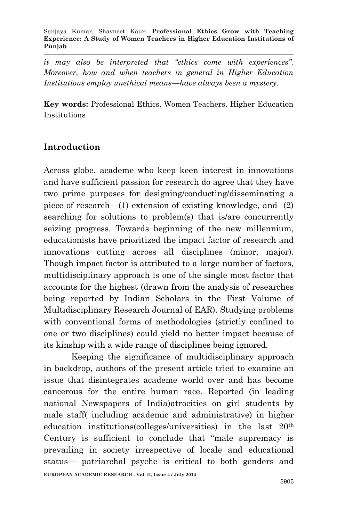*it may also be interpreted that "ethics come with experiences". Moreover, how and when teachers in general in Higher Education Institutions employ unethical means—have always been a mystery.*

**Key words:** Professional Ethics, Women Teachers, Higher Education Institutions

# **Introduction**

Across globe, academe who keep keen interest in innovations and have sufficient passion for research do agree that they have two prime purposes for designing/conducting/disseminating a piece of research—(1) extension of existing knowledge, and (2) searching for solutions to problem(s) that is/are concurrently seizing progress. Towards beginning of the new millennium, educationists have prioritized the impact factor of research and innovations cutting across all disciplines (minor, major). Though impact factor is attributed to a large number of factors, multidisciplinary approach is one of the single most factor that accounts for the highest (drawn from the analysis of researches being reported by Indian Scholars in the First Volume of Multidisciplinary Research Journal of EAR). Studying problems with conventional forms of methodologies (strictly confined to one or two disciplines) could yield no better impact because of its kinship with a wide range of disciplines being ignored.

**EUROPEAN ACADEMIC RESEARCH - Vol. II, Issue 4 / July 2014** Keeping the significance of multidisciplinary approach in backdrop, authors of the present article tried to examine an issue that disintegrates academe world over and has become cancerous for the entire human race. Reported (in leading national Newspapers of India)atrocities on girl students by male staff( including academic and administrative) in higher education institutions(colleges/universities) in the last 20th Century is sufficient to conclude that "male supremacy is prevailing in society irrespective of locale and educational status— patriarchal psyche is critical to both genders and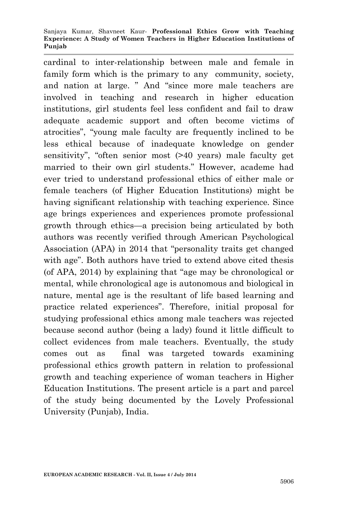#### Sanjaya Kumar, Shavneet Kaur*-* **Professional Ethics Grow with Teaching Experience: A Study of Women Teachers in Higher Education Institutions of Punjab**

cardinal to inter-relationship between male and female in family form which is the primary to any community, society, and nation at large. " And "since more male teachers are involved in teaching and research in higher education institutions, girl students feel less confident and fail to draw adequate academic support and often become victims of atrocities", "young male faculty are frequently inclined to be less ethical because of inadequate knowledge on gender sensitivity", "often senior most (>40 years) male faculty get married to their own girl students." However, academe had ever tried to understand professional ethics of either male or female teachers (of Higher Education Institutions) might be having significant relationship with teaching experience. Since age brings experiences and experiences promote professional growth through ethics—a precision being articulated by both authors was recently verified through American Psychological Association (APA) in 2014 that "personality traits get changed with age". Both authors have tried to extend above cited thesis (of APA, 2014) by explaining that "age may be chronological or mental, while chronological age is autonomous and biological in nature, mental age is the resultant of life based learning and practice related experiences". Therefore, initial proposal for studying professional ethics among male teachers was rejected because second author (being a lady) found it little difficult to collect evidences from male teachers. Eventually, the study comes out as final was targeted towards examining professional ethics growth pattern in relation to professional growth and teaching experience of woman teachers in Higher Education Institutions. The present article is a part and parcel of the study being documented by the Lovely Professional University (Punjab), India.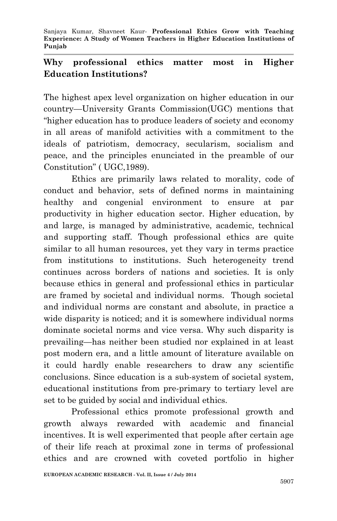## **Why professional ethics matter most in Higher Education Institutions?**

The highest apex level organization on higher education in our country—University Grants Commission(UGC) mentions that "higher education has to produce leaders of society and economy in all areas of manifold activities with a commitment to the ideals of patriotism, democracy, secularism, socialism and peace, and the principles enunciated in the preamble of our Constitution" ( UGC,1989).

Ethics are primarily laws related to morality, code of conduct and behavior, sets of defined norms in maintaining healthy and congenial environment to ensure at par productivity in higher education sector. Higher education, by and large, is managed by administrative, academic, technical and supporting staff. Though professional ethics are quite similar to all human resources, yet they vary in terms practice from institutions to institutions. Such heterogeneity trend continues across borders of nations and societies. It is only because ethics in general and professional ethics in particular are framed by societal and individual norms. Though societal and individual norms are constant and absolute, in practice a wide disparity is noticed; and it is somewhere individual norms dominate societal norms and vice versa. Why such disparity is prevailing—has neither been studied nor explained in at least post modern era, and a little amount of literature available on it could hardly enable researchers to draw any scientific conclusions. Since education is a sub-system of societal system, educational institutions from pre-primary to tertiary level are set to be guided by social and individual ethics.

Professional ethics promote professional growth and growth always rewarded with academic and financial incentives. It is well experimented that people after certain age of their life reach at proximal zone in terms of professional ethics and are crowned with coveted portfolio in higher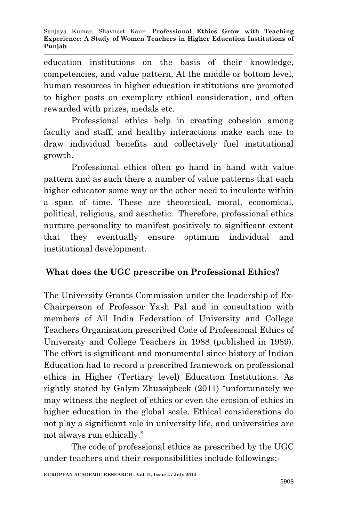education institutions on the basis of their knowledge, competencies, and value pattern. At the middle or bottom level, human resources in higher education institutions are promoted to higher posts on exemplary ethical consideration, and often rewarded with prizes, medals etc.

Professional ethics help in creating cohesion among faculty and staff, and healthy interactions make each one to draw individual benefits and collectively fuel institutional growth.

Professional ethics often go hand in hand with value pattern and as such there a number of value patterns that each higher educator some way or the other need to inculcate within a span of time. These are theoretical, moral, economical, political, religious, and aesthetic. Therefore, professional ethics nurture personality to manifest positively to significant extent that they eventually ensure optimum individual and institutional development.

### **What does the UGC prescribe on Professional Ethics?**

The University Grants Commission under the leadership of Ex-Chairperson of Professor Yash Pal and in consultation with members of All India Federation of University and College Teachers Organisation prescribed Code of Professional Ethics of University and College Teachers in 1988 (published in 1989). The effort is significant and monumental since history of Indian Education had to record a prescribed framework on professional ethics in Higher (Tertiary level) Education Institutions. As rightly stated by Galym Zhussipbeck (2011) "unfortunately we may witness the neglect of ethics or even the erosion of ethics in higher education in the global scale. Ethical considerations do not play a significant role in university life, and universities are not always run ethically."

The code of professional ethics as prescribed by the UGC under teachers and their responsibilities include followings:-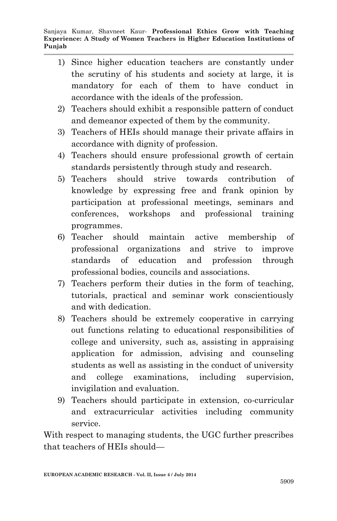- 1) Since higher education teachers are constantly under the scrutiny of his students and society at large, it is mandatory for each of them to have conduct in accordance with the ideals of the profession.
- 2) Teachers should exhibit a responsible pattern of conduct and demeanor expected of them by the community.
- 3) Teachers of HEIs should manage their private affairs in accordance with dignity of profession.
- 4) Teachers should ensure professional growth of certain standards persistently through study and research.
- 5) Teachers should strive towards contribution of knowledge by expressing free and frank opinion by participation at professional meetings, seminars and conferences, workshops and professional training programmes.
- 6) Teacher should maintain active membership of professional organizations and strive to improve standards of education and profession through professional bodies, councils and associations.
- 7) Teachers perform their duties in the form of teaching, tutorials, practical and seminar work conscientiously and with dedication.
- 8) Teachers should be extremely cooperative in carrying out functions relating to educational responsibilities of college and university, such as, assisting in appraising application for admission, advising and counseling students as well as assisting in the conduct of university and college examinations, including supervision, invigilation and evaluation.
- 9) Teachers should participate in extension, co-curricular and extracurricular activities including community service.

With respect to managing students, the UGC further prescribes that teachers of HEIs should—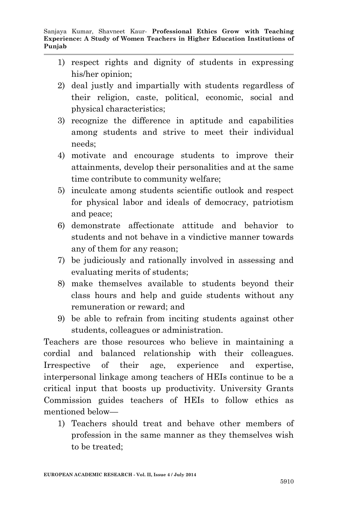- 1) respect rights and dignity of students in expressing his/her opinion;
- 2) deal justly and impartially with students regardless of their religion, caste, political, economic, social and physical characteristics;
- 3) recognize the difference in aptitude and capabilities among students and strive to meet their individual needs;
- 4) motivate and encourage students to improve their attainments, develop their personalities and at the same time contribute to community welfare;
- 5) inculcate among students scientific outlook and respect for physical labor and ideals of democracy, patriotism and peace;
- 6) demonstrate affectionate attitude and behavior to students and not behave in a vindictive manner towards any of them for any reason;
- 7) be judiciously and rationally involved in assessing and evaluating merits of students;
- 8) make themselves available to students beyond their class hours and help and guide students without any remuneration or reward; and
- 9) be able to refrain from inciting students against other students, colleagues or administration.

Teachers are those resources who believe in maintaining a cordial and balanced relationship with their colleagues. Irrespective of their age, experience and expertise, interpersonal linkage among teachers of HEIs continue to be a critical input that boosts up productivity. University Grants Commission guides teachers of HEIs to follow ethics as mentioned below—

1) Teachers should treat and behave other members of profession in the same manner as they themselves wish to be treated;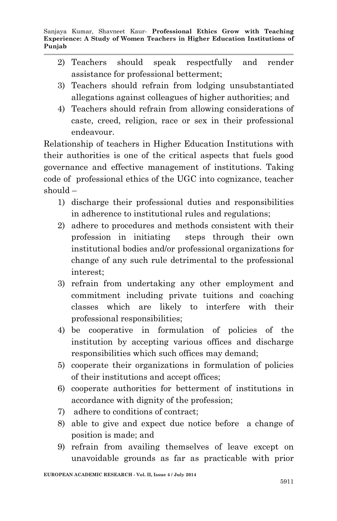- 2) Teachers should speak respectfully and render assistance for professional betterment;
- 3) Teachers should refrain from lodging unsubstantiated allegations against colleagues of higher authorities; and
- 4) Teachers should refrain from allowing considerations of caste, creed, religion, race or sex in their professional endeavour.

Relationship of teachers in Higher Education Institutions with their authorities is one of the critical aspects that fuels good governance and effective management of institutions. Taking code of professional ethics of the UGC into cognizance, teacher should –

- 1) discharge their professional duties and responsibilities in adherence to institutional rules and regulations;
- 2) adhere to procedures and methods consistent with their profession in initiating steps through their own institutional bodies and/or professional organizations for change of any such rule detrimental to the professional interest;
- 3) refrain from undertaking any other employment and commitment including private tuitions and coaching classes which are likely to interfere with their professional responsibilities;
- 4) be cooperative in formulation of policies of the institution by accepting various offices and discharge responsibilities which such offices may demand;
- 5) cooperate their organizations in formulation of policies of their institutions and accept offices;
- 6) cooperate authorities for betterment of institutions in accordance with dignity of the profession;
- 7) adhere to conditions of contract;
- 8) able to give and expect due notice before a change of position is made; and
- 9) refrain from availing themselves of leave except on unavoidable grounds as far as practicable with prior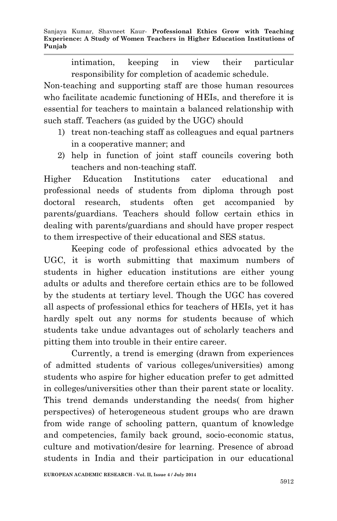Sanjaya Kumar, Shavneet Kaur*-* **Professional Ethics Grow with Teaching Experience: A Study of Women Teachers in Higher Education Institutions of Punjab**

> intimation, keeping in view their particular responsibility for completion of academic schedule.

Non-teaching and supporting staff are those human resources who facilitate academic functioning of HEIs, and therefore it is essential for teachers to maintain a balanced relationship with such staff. Teachers (as guided by the UGC) should

- 1) treat non-teaching staff as colleagues and equal partners in a cooperative manner; and
- 2) help in function of joint staff councils covering both teachers and non-teaching staff.

Higher Education Institutions cater educational and professional needs of students from diploma through post doctoral research, students often get accompanied by parents/guardians. Teachers should follow certain ethics in dealing with parents/guardians and should have proper respect to them irrespective of their educational and SES status.

Keeping code of professional ethics advocated by the UGC, it is worth submitting that maximum numbers of students in higher education institutions are either young adults or adults and therefore certain ethics are to be followed by the students at tertiary level. Though the UGC has covered all aspects of professional ethics for teachers of HEIs, yet it has hardly spelt out any norms for students because of which students take undue advantages out of scholarly teachers and pitting them into trouble in their entire career.

Currently, a trend is emerging (drawn from experiences of admitted students of various colleges/universities) among students who aspire for higher education prefer to get admitted in colleges/universities other than their parent state or locality. This trend demands understanding the needs( from higher perspectives) of heterogeneous student groups who are drawn from wide range of schooling pattern, quantum of knowledge and competencies, family back ground, socio-economic status, culture and motivation/desire for learning. Presence of abroad students in India and their participation in our educational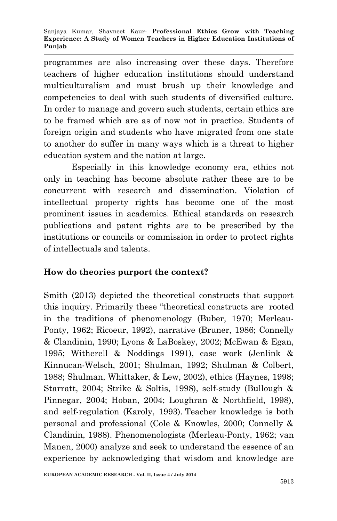programmes are also increasing over these days. Therefore teachers of higher education institutions should understand multiculturalism and must brush up their knowledge and competencies to deal with such students of diversified culture. In order to manage and govern such students, certain ethics are to be framed which are as of now not in practice. Students of foreign origin and students who have migrated from one state to another do suffer in many ways which is a threat to higher education system and the nation at large.

Especially in this knowledge economy era, ethics not only in teaching has become absolute rather these are to be concurrent with research and dissemination. Violation of intellectual property rights has become one of the most prominent issues in academics. Ethical standards on research publications and patent rights are to be prescribed by the institutions or councils or commission in order to protect rights of intellectuals and talents.

#### **How do theories purport the context?**

Smith (2013) depicted the theoretical constructs that support this inquiry. Primarily these "theoretical constructs are rooted in the traditions of phenomenology (Buber, 1970; Merleau-Ponty, 1962; Ricoeur, 1992), narrative (Bruner, 1986; Connelly & Clandinin, 1990; Lyons & LaBoskey, 2002; McEwan & Egan, 1995; Witherell & Noddings 1991), case work (Jenlink & Kinnucan-Welsch, 2001; Shulman, 1992; Shulman & Colbert, 1988; Shulman, Whittaker, & Lew, 2002), ethics (Haynes, 1998; Starratt, 2004; Strike & Soltis, 1998), self-study (Bullough & Pinnegar, 2004; Hoban, 2004; Loughran & Northfield, 1998), and self-regulation (Karoly, 1993). Teacher knowledge is both personal and professional (Cole & Knowles, 2000; Connelly & Clandinin, 1988). Phenomenologists (Merleau-Ponty, 1962; van Manen, 2000) analyze and seek to understand the essence of an experience by acknowledging that wisdom and knowledge are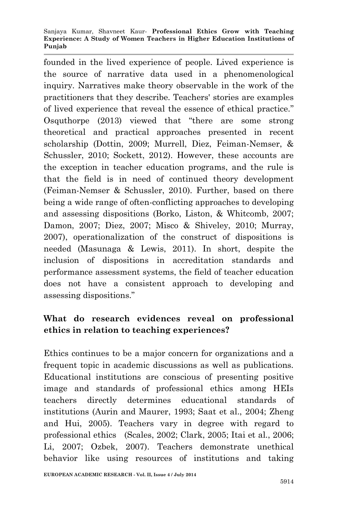#### Sanjaya Kumar, Shavneet Kaur*-* **Professional Ethics Grow with Teaching Experience: A Study of Women Teachers in Higher Education Institutions of Punjab**

founded in the lived experience of people. Lived experience is the source of narrative data used in a phenomenological inquiry. Narratives make theory observable in the work of the practitioners that they describe. Teachers' stories are examples of lived experience that reveal the essence of ethical practice." Osquthorpe (2013) viewed that "there are some strong theoretical and practical approaches presented in recent scholarship (Dottin, 2009; Murrell, Diez, Feiman-Nemser, & Schussler, 2010; Sockett, 2012). However, these accounts are the exception in teacher education programs, and the rule is that the field is in need of continued theory development (Feiman-Nemser & Schussler, 2010). Further, based on there being a wide range of often-conflicting approaches to developing and assessing dispositions (Borko, Liston, & Whitcomb, 2007; Damon, 2007; Diez, 2007; Misco & Shiveley, 2010; Murray, 2007), operationalization of the construct of dispositions is needed (Masunaga & Lewis, 2011). In short, despite the inclusion of dispositions in accreditation standards and performance assessment systems, the field of teacher education does not have a consistent approach to developing and assessing dispositions."

## **What do research evidences reveal on professional ethics in relation to teaching experiences?**

Ethics continues to be a major concern for organizations and a frequent topic in academic discussions as well as publications. Educational institutions are conscious of presenting positive image and standards of professional ethics among HEIs teachers directly determines educational standards of institutions (Aurin and Maurer, 1993; Saat et al., 2004; Zheng and Hui, 2005). Teachers vary in degree with regard to professional ethics (Scales, 2002; Clark, 2005; Itai et al., 2006; Li, 2007; Ozbek, 2007). Teachers demonstrate unethical behavior like using resources of institutions and taking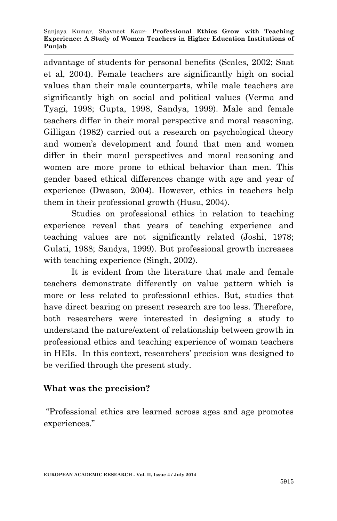advantage of students for personal benefits (Scales, 2002; Saat et al, 2004). Female teachers are significantly high on social values than their male counterparts, while male teachers are significantly high on social and political values (Verma and Tyagi, 1998; Gupta, 1998, Sandya, 1999). Male and female teachers differ in their moral perspective and moral reasoning. Gilligan (1982) carried out a research on psychological theory and women's development and found that men and women differ in their moral perspectives and moral reasoning and women are more prone to ethical behavior than men. This gender based ethical differences change with age and year of experience (Dwason, 2004). However, ethics in teachers help them in their professional growth (Husu, 2004).

Studies on professional ethics in relation to teaching experience reveal that years of teaching experience and teaching values are not significantly related (Joshi, 1978; Gulati, 1988; Sandya, 1999). But professional growth increases with teaching experience (Singh, 2002).

It is evident from the literature that male and female teachers demonstrate differently on value pattern which is more or less related to professional ethics. But, studies that have direct bearing on present research are too less. Therefore, both researchers were interested in designing a study to understand the nature/extent of relationship between growth in professional ethics and teaching experience of woman teachers in HEIs. In this context, researchers' precision was designed to be verified through the present study.

#### **What was the precision?**

"Professional ethics are learned across ages and age promotes experiences."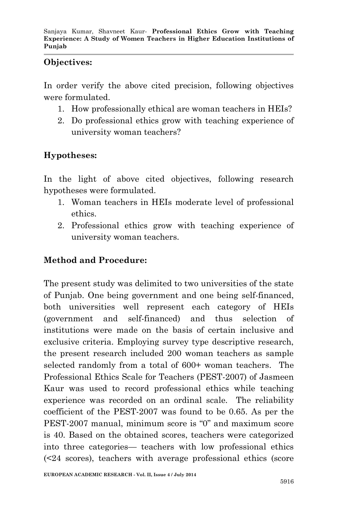#### **Objectives:**

In order verify the above cited precision, following objectives were formulated.

- 1. How professionally ethical are woman teachers in HEIs?
- 2. Do professional ethics grow with teaching experience of university woman teachers?

# **Hypotheses:**

In the light of above cited objectives, following research hypotheses were formulated.

- 1. Woman teachers in HEIs moderate level of professional ethics.
- 2. Professional ethics grow with teaching experience of university woman teachers.

# **Method and Procedure:**

The present study was delimited to two universities of the state of Punjab. One being government and one being self-financed, both universities well represent each category of HEIs (government and self-financed) and thus selection of institutions were made on the basis of certain inclusive and exclusive criteria. Employing survey type descriptive research, the present research included 200 woman teachers as sample selected randomly from a total of 600+ woman teachers. The Professional Ethics Scale for Teachers (PEST-2007) of Jasmeen Kaur was used to record professional ethics while teaching experience was recorded on an ordinal scale. The reliability coefficient of the PEST-2007 was found to be 0.65. As per the PEST-2007 manual, minimum score is "0" and maximum score is 40. Based on the obtained scores, teachers were categorized into three categories— teachers with low professional ethics (<24 scores), teachers with average professional ethics (score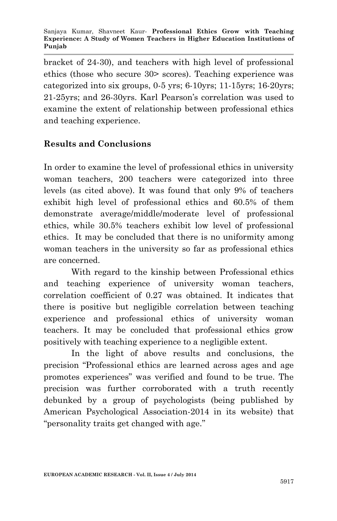bracket of 24-30), and teachers with high level of professional ethics (those who secure 30> scores). Teaching experience was categorized into six groups, 0-5 yrs; 6-10yrs; 11-15yrs; 16-20yrs; 21-25yrs; and 26-30yrs. Karl Pearson's correlation was used to examine the extent of relationship between professional ethics and teaching experience.

## **Results and Conclusions**

In order to examine the level of professional ethics in university woman teachers, 200 teachers were categorized into three levels (as cited above). It was found that only 9% of teachers exhibit high level of professional ethics and 60.5% of them demonstrate average/middle/moderate level of professional ethics, while 30.5% teachers exhibit low level of professional ethics. It may be concluded that there is no uniformity among woman teachers in the university so far as professional ethics are concerned.

With regard to the kinship between Professional ethics and teaching experience of university woman teachers, correlation coefficient of 0.27 was obtained. It indicates that there is positive but negligible correlation between teaching experience and professional ethics of university woman teachers. It may be concluded that professional ethics grow positively with teaching experience to a negligible extent.

In the light of above results and conclusions, the precision "Professional ethics are learned across ages and age promotes experiences" was verified and found to be true. The precision was further corroborated with a truth recently debunked by a group of psychologists (being published by American Psychological Association-2014 in its website) that "personality traits get changed with age."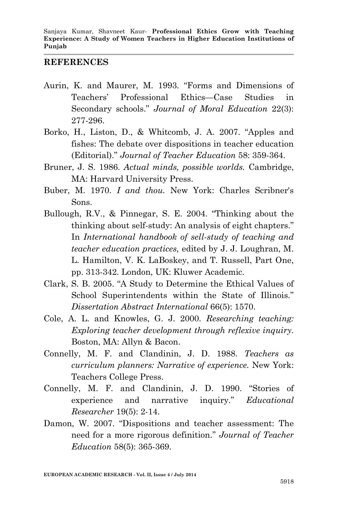#### **REFERENCES**

- Aurin, K. and Maurer, M. 1993. "Forms and Dimensions of Teachers' Professional Ethics—Case Studies in Secondary schools." *Journal of Moral Education* 22(3): 277-296.
- Borko, H., Liston, D., & Whitcomb, J. A. 2007. "Apples and fishes: The debate over dispositions in teacher education (Editorial)." *Journal of Teacher Education* 58: 359-364.
- Bruner, J. S. 1986. *Actual minds, possible worlds.* Cambridge, MA: Harvard University Press.
- Buber, M. 1970. *I and thou.* New York: Charles Scribner's Sons.
- Bullough, R.V., & Pinnegar, S. E. 2004. "Thinking about the thinking about self-study: An analysis of eight chapters." In *International handbook of sell-study of teaching and teacher education practices,* edited by J. J. Loughran, M. L. Hamilton, V. K. LaBoskey, and T. Russell, Part One, pp. 313-342. London, UK: Kluwer Academic.
- Clark, S. B. 2005. "A Study to Determine the Ethical Values of School Superintendents within the State of Illinois." *Dissertation Abstract International* 66(5): 1570.
- Cole, A. L. and Knowles, G. J. 2000. *Researching teaching: Exploring teacher development through reflexive inquiry.* Boston, MA: Allyn & Bacon.
- Connelly, M. F. and Clandinin, J. D. 1988. *Teachers as curriculum planners: Narrative of experience.* New York: Teachers College Press.
- Connelly, M. F. and Clandinin, J. D. 1990. "Stories of experience and narrative inquiry." *Educational Researcher* 19(5): 2-14.
- Damon, W. 2007. "Dispositions and teacher assessment: The need for a more rigorous definition." *Journal of Teacher Education* 58(5): 365-369.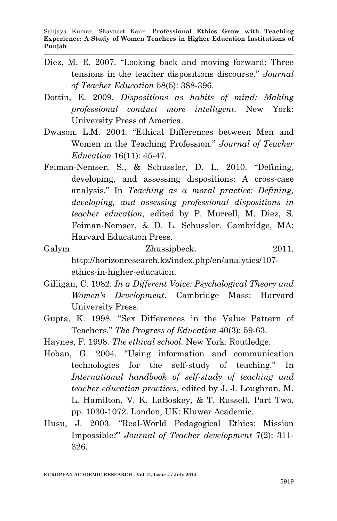- Diez, M. E. 2007. "Looking back and moving forward: Three tensions in the teacher dispositions discourse." *Journal of Teacher Education* 58(5): 388-396.
- Dottin, E. 2009. *Dispositions as habits of mind: Making professional conduct more intelligent.* New York: University Press of America.
- Dwason, L.M. 2004. "Ethical Differences between Men and Women in the Teaching Profession." *Journal of Teacher Education* 16(11): 45-47.
- Feiman-Nemser, S., & Schussler, D. L. 2010. "Defining, developing, and assessing dispositions: A cross-case analysis." In *Teaching as a moral practice: Defining, developing, and assessing professional dispositions in teacher education,* edited by P. Murrell, M. Diez, S. Feiman-Nemser, & D. L. Schussler. Cambridge, MA: Harvard Education Press.
- Galym Zhussipbeck. 2011. http://horizonresearch.kz/index.php/en/analytics/107 ethics-in-higher-education.
- Gilligan, C. 1982. *In a Different Voice: Psychological Theory and Women's Development*. Cambridge Mass: Harvard University Press.
- Gupta, K. 1998. "Sex Differences in the Value Pattern of Teachers." *The Progress of Education* 40(3): 59-63.
- Haynes, F. 1998. *The ethical school.* New York: Routledge.
- Hoban, G. 2004. "Using information and communication technologies for the self-study of teaching." In *International handbook of self-study of teaching and teacher education practices*, edited by J. J. Loughran, M. L. Hamilton, V. K. LaBoskey, & T. Russell, Part Two, pp. 1030-1072. London, UK: Kluwer Academic.
- Husu, J. 2003. "Real-World Pedagogical Ethics: Mission Impossible?" *Journal of Teacher development* 7(2): 311- 326.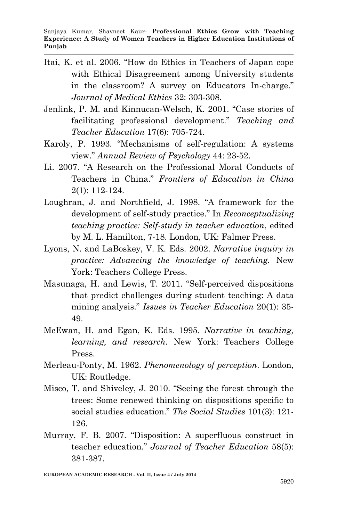- Itai, K. et al. 2006. "How do Ethics in Teachers of Japan cope with Ethical Disagreement among University students in the classroom? A survey on Educators In-charge." *Journal of Medical Ethics* 32: 303-308.
- Jenlink, P. M. and Kinnucan-Welsch, K. 2001. "Case stories of facilitating professional development." *Teaching and Teacher Education* 17(6): 705-724.
- Karoly, P. 1993. "Mechanisms of self-regulation: A systems view." *Annual Review of Psychology* 44: 23-52.
- Li. 2007. "A Research on the Professional Moral Conducts of Teachers in China." *Frontiers of Education in China* 2(1): 112-124.
- Loughran, J. and Northfield, J. 1998. "A framework for the development of self-study practice." In *Reconceptualizing teaching practice: Self-study in teacher education*, edited by M. L. Hamilton, 7-18. London, UK: Falmer Press.
- Lyons, N. and LaBoskey, V. K. Eds. 2002. *Narrative inquiry in practice: Advancing the knowledge of teaching.* New York: Teachers College Press.
- Masunaga, H. and Lewis, T. 2011. "Self-perceived dispositions that predict challenges during student teaching: A data mining analysis." *Issues in Teacher Education* 20(1): 35- 49.
- McEwan, H. and Egan, K. Eds. 1995. *Narrative in teaching, learning, and research.* New York: Teachers College Press.
- Merleau-Ponty, M. 1962. *Phenomenology of perception*. London, UK: Routledge.
- Misco, T. and Shiveley, J. 2010. "Seeing the forest through the trees: Some renewed thinking on dispositions specific to social studies education." *The Social Studies* 101(3): 121- 126.
- Murray, F. B. 2007. "Disposition: A superfluous construct in teacher education." *Journal of Teacher Education* 58(5): 381-387.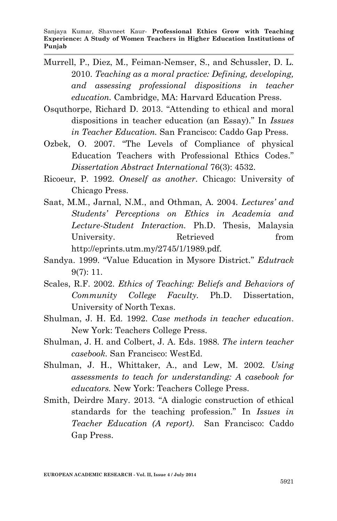- Murrell, P., Diez, M., Feiman-Nemser, S., and Schussler, D. L. 2010. *Teaching as a moral practice: Defining, developing, and assessing professional dispositions in teacher education.* Cambridge, MA: Harvard Education Press.
- Osquthorpe, Richard D. 2013. "Attending to ethical and moral dispositions in teacher education (an Essay)." In *Issues in Teacher Education.* San Francisco: Caddo Gap Press.
- Ozbek, O. 2007. "The Levels of Compliance of physical Education Teachers with Professional Ethics Codes." *Dissertation Abstract International* 76(3): 4532.
- Ricoeur, P. 1992. *Oneself as another*. Chicago: University of Chicago Press.
- Saat, M.M., Jarnal, N.M., and Othman, A. 2004. *Lectures' and Students' Perceptions on Ethics in Academia and Lecture-Student Interaction.* Ph.D. Thesis, Malaysia University. Retrieved from http://eprints.utm.my/2745/1/1989.pdf.
- Sandya. 1999. "Value Education in Mysore District." *Edutrack* 9(7): 11.
- Scales, R.F. 2002. *Ethics of Teaching: Beliefs and Behaviors of Community College Faculty.* Ph.D. Dissertation, University of North Texas.
- Shulman, J. H. Ed. 1992. *Case methods in teacher education*. New York: Teachers College Press.
- Shulman, J. H. and Colbert, J. A. Eds. 1988. *The intern teacher casebook.* San Francisco: WestEd.
- Shulman, J. H., Whittaker, A., and Lew, M. 2002. *Using assessments to teach for understanding: A casebook for educators.* New York: Teachers College Press.
- Smith, Deirdre Mary. 2013. "A dialogic construction of ethical standards for the teaching profession." In *Issues in Teacher Education (A report)*. San Francisco: Caddo Gap Press.